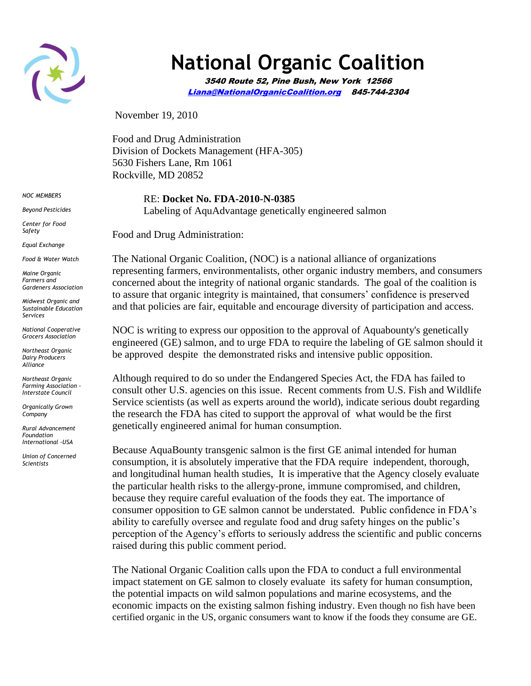

## **National Organic Coalition**

3540 Route 52, Pine Bush, New York 12566 [Liana@NationalOrganicCoalition.org](mailto:Liana@NationalOrganicCoalition.org) 845-744-2304

November 19, 2010

Food and Drug Administration Division of Dockets Management (HFA-305) 5630 Fishers Lane, Rm 1061 Rockville, MD 20852

> RE: **Docket No. FDA-2010-N-0385** Labeling of AquAdvantage genetically engineered salmon

Food and Drug Administration:

The National Organic Coalition, (NOC) is a national alliance of organizations representing farmers, environmentalists, other organic industry members, and consumers concerned about the integrity of national organic standards. The goal of the coalition is to assure that organic integrity is maintained, that consumers' confidence is preserved and that policies are fair, equitable and encourage diversity of participation and access.

NOC is writing to express our opposition to the approval of Aquabounty's genetically engineered (GE) salmon, and to urge FDA to require the labeling of GE salmon should it be approved despite the demonstrated risks and intensive public opposition.

Although required to do so under the Endangered Species Act, the FDA has failed to consult other U.S. agencies on this issue. Recent comments from U.S. Fish and Wildlife Service scientists (as well as experts around the world), indicate serious doubt regarding the research the FDA has cited to support the approval of what would be the first genetically engineered animal for human consumption.

Because AquaBounty transgenic salmon is the first GE animal intended for human consumption, it is absolutely imperative that the FDA require independent, thorough, and longitudinal human health studies, It is imperative that the Agency closely evaluate the particular health risks to the allergy-prone, immune compromised, and children, because they require careful evaluation of the foods they eat. The importance of consumer opposition to GE salmon cannot be understated. Public confidence in FDA's ability to carefully oversee and regulate food and drug safety hinges on the public's perception of the Agency's efforts to seriously address the scientific and public concerns raised during this public comment period.

The National Organic Coalition calls upon the FDA to conduct a full environmental impact statement on GE salmon to closely evaluate its safety for human consumption, the potential impacts on wild salmon populations and marine ecosystems, and the economic impacts on the existing salmon fishing industry. Even though no fish have been certified organic in the US, organic consumers want to know if the foods they consume are GE.

*NOC MEMBERS*

*Beyond Pesticides*

*Center for Food Safety*

*Equal Exchange*

*Food & Water Watch*

*Maine Organic Farmers and Gardeners Association*

*Midwest Organic and Sustainable Education Services*

*National Cooperative Grocers Association*

*Northeast Organic Dairy Producers Alliance*

*Northeast Organic Farming Association - Interstate Council*

*Organically Grown Company*

*Rural Advancement Foundation International -USA*

*Union of Concerned Scientists*